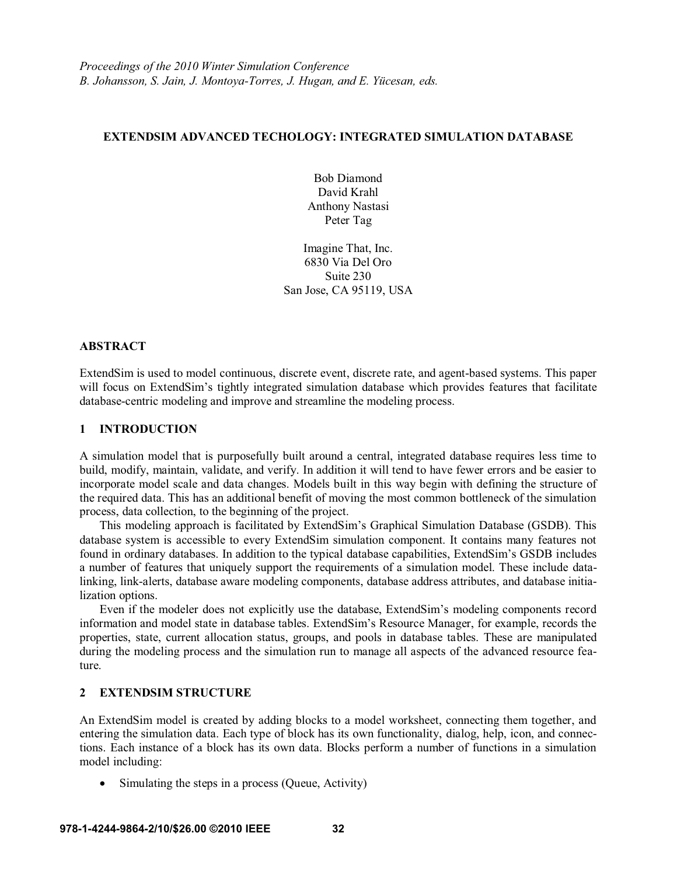#### **EXTENDSIM ADVANCED TECHOLOGY: INTEGRATED SIMULATION DATABASE**

Bob Diamond David Krahl Anthony Nastasi Peter Tag

Imagine That, Inc. 6830 Via Del Oro Suite 230 San Jose, CA 95119, USA

#### **ABSTRACT**

ExtendSim is used to model continuous, discrete event, discrete rate, and agent-based systems. This paper will focus on ExtendSim's tightly integrated simulation database which provides features that facilitate database-centric modeling and improve and streamline the modeling process.

#### **1 INTRODUCTION**

A simulation model that is purposefully built around a central, integrated database requires less time to build, modify, maintain, validate, and verify. In addition it will tend to have fewer errors and be easier to incorporate model scale and data changes. Models built in this way begin with defining the structure of the required data. This has an additional benefit of moving the most common bottleneck of the simulation process, data collection, to the beginning of the project.

This modeling approach is facilitated by ExtendSim's Graphical Simulation Database (GSDB). This database system is accessible to every ExtendSim simulation component. It contains many features not found in ordinary databases. In addition to the typical database capabilities, ExtendSim's GSDB includes a number of features that uniquely support the requirements of a simulation model. These include datalinking, link-alerts, database aware modeling components, database address attributes, and database initialization options.

Even if the modeler does not explicitly use the database, ExtendSim's modeling components record information and model state in database tables. ExtendSim's Resource Manager, for example, records the properties, state, current allocation status, groups, and pools in database tables. These are manipulated during the modeling process and the simulation run to manage all aspects of the advanced resource feature.

### **2 EXTENDSIM STRUCTURE**

An ExtendSim model is created by adding blocks to a model worksheet, connecting them together, and entering the simulation data. Each type of block has its own functionality, dialog, help, icon, and connections. Each instance of a block has its own data. Blocks perform a number of functions in a simulation model including:

• Simulating the steps in a process (Queue, Activity)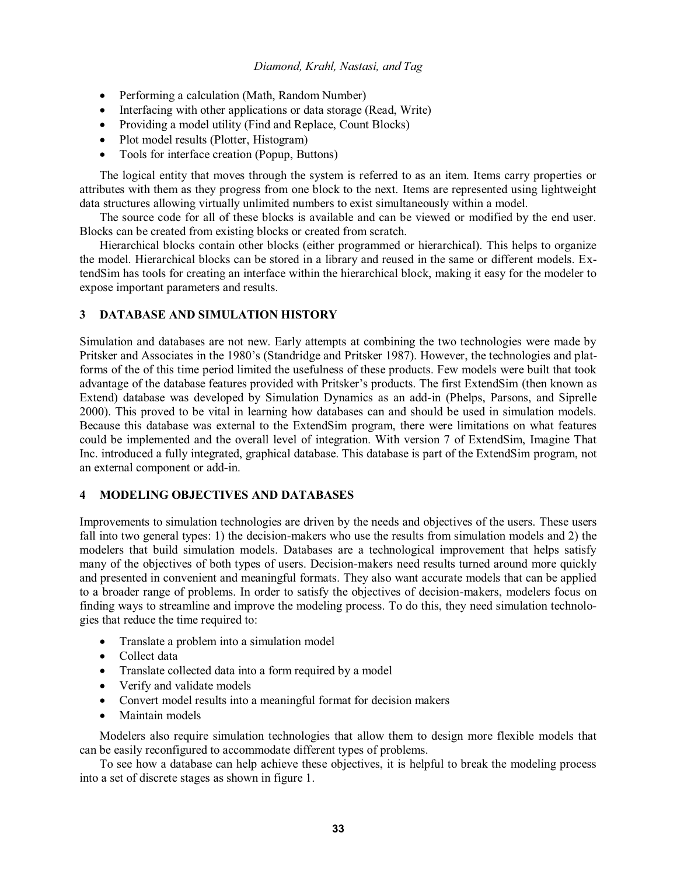#### *Diamond, Krahl, Nastasi, and Tag*

- Performing a calculation (Math, Random Number)
- Interfacing with other applications or data storage (Read, Write)
- Providing a model utility (Find and Replace, Count Blocks)
- Plot model results (Plotter, Histogram)
- $\bullet$ Tools for interface creation (Popup, Buttons)

The logical entity that moves through the system is referred to as an item. Items carry properties or attributes with them as they progress from one block to the next. Items are represented using lightweight data structures allowing virtually unlimited numbers to exist simultaneously within a model.

The source code for all of these blocks is available and can be viewed or modified by the end user. Blocks can be created from existing blocks or created from scratch.

Hierarchical blocks contain other blocks (either programmed or hierarchical). This helps to organize the model. Hierarchical blocks can be stored in a library and reused in the same or different models. ExtendSim has tools for creating an interface within the hierarchical block, making it easy for the modeler to expose important parameters and results.

#### **3 DATABASE AND SIMULATION HISTORY**

Simulation and databases are not new. Early attempts at combining the two technologies were made by Pritsker and Associates in the 1980's (Standridge and Pritsker 1987). However, the technologies and platforms of the of this time period limited the usefulness of these products. Few models were built that took advantage of the database features provided with Pritsker's products. The first ExtendSim (then known as Extend) database was developed by Simulation Dynamics as an add-in (Phelps, Parsons, and Siprelle 2000). This proved to be vital in learning how databases can and should be used in simulation models. Because this database was external to the ExtendSim program, there were limitations on what features could be implemented and the overall level of integration. With version 7 of ExtendSim, Imagine That Inc. introduced a fully integrated, graphical database. This database is part of the ExtendSim program, not an external component or add-in.

### **4 MODELING OBJECTIVES AND DATABASES**

Improvements to simulation technologies are driven by the needs and objectives of the users. These users fall into two general types: 1) the decision-makers who use the results from simulation models and 2) the modelers that build simulation models. Databases are a technological improvement that helps satisfy many of the objectives of both types of users. Decision-makers need results turned around more quickly and presented in convenient and meaningful formats. They also want accurate models that can be applied to a broader range of problems. In order to satisfy the objectives of decision-makers, modelers focus on finding ways to streamline and improve the modeling process. To do this, they need simulation technologies that reduce the time required to:

- Translate a problem into a simulation model
- Collect data
- Translate collected data into a form required by a model
- Verify and validate models
- Convert model results into a meaningful format for decision makers
- $\bullet$ Maintain models

Modelers also require simulation technologies that allow them to design more flexible models that can be easily reconfigured to accommodate different types of problems.

To see how a database can help achieve these objectives, it is helpful to break the modeling process into a set of discrete stages as shown in figure 1.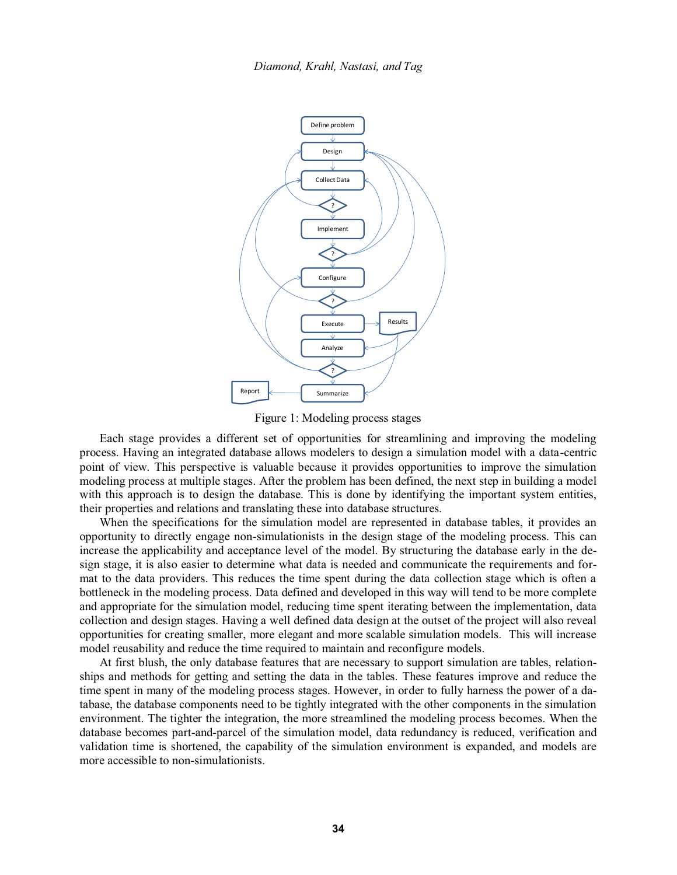

Figure 1: Modeling process stages

Each stage provides a different set of opportunities for streamlining and improving the modeling process. Having an integrated database allows modelers to design a simulation model with a data-centric point of view. This perspective is valuable because it provides opportunities to improve the simulation modeling process at multiple stages. After the problem has been defined, the next step in building a model with this approach is to design the database. This is done by identifying the important system entities, their properties and relations and translating these into database structures.

When the specifications for the simulation model are represented in database tables, it provides an opportunity to directly engage non-simulationists in the design stage of the modeling process. This can increase the applicability and acceptance level of the model. By structuring the database early in the design stage, it is also easier to determine what data is needed and communicate the requirements and format to the data providers. This reduces the time spent during the data collection stage which is often a bottleneck in the modeling process. Data defined and developed in this way will tend to be more complete and appropriate for the simulation model, reducing time spent iterating between the implementation, data collection and design stages. Having a well defined data design at the outset of the project will also reveal opportunities for creating smaller, more elegant and more scalable simulation models. This will increase model reusability and reduce the time required to maintain and reconfigure models.

At first blush, the only database features that are necessary to support simulation are tables, relationships and methods for getting and setting the data in the tables. These features improve and reduce the time spent in many of the modeling process stages. However, in order to fully harness the power of a database, the database components need to be tightly integrated with the other components in the simulation environment. The tighter the integration, the more streamlined the modeling process becomes. When the database becomes part-and-parcel of the simulation model, data redundancy is reduced, verification and validation time is shortened, the capability of the simulation environment is expanded, and models are more accessible to non-simulationists.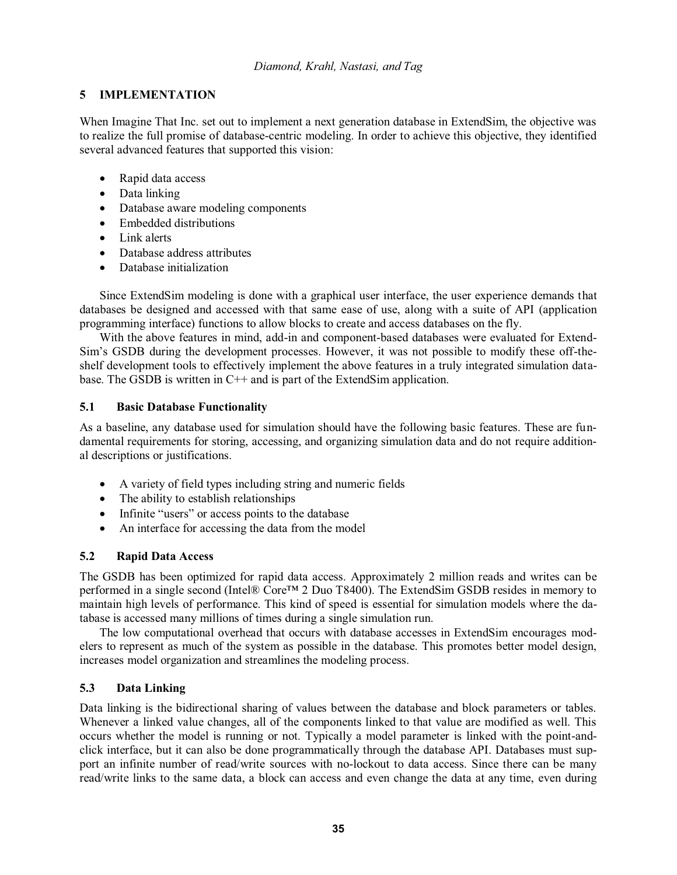# **5 IMPLEMENTATION**

When Imagine That Inc. set out to implement a next generation database in ExtendSim, the objective was to realize the full promise of database-centric modeling. In order to achieve this objective, they identified several advanced features that supported this vision:

- Rapid data access
- Data linking
- Database aware modeling components
- Embedded distributions
- Link alerts
- $\bullet$ Database address attributes
- -Database initialization

Since ExtendSim modeling is done with a graphical user interface, the user experience demands that databases be designed and accessed with that same ease of use, along with a suite of API (application programming interface) functions to allow blocks to create and access databases on the fly.

With the above features in mind, add-in and component-based databases were evaluated for Extend- Sim's GSDB during the development processes. However, it was not possible to modify these off-theshelf development tools to effectively implement the above features in a truly integrated simulation database. The GSDB is written in  $C++$  and is part of the ExtendSim application.

## **5.1 Basic Database Functionality**

As a baseline, any database used for simulation should have the following basic features. These are fundamental requirements for storing, accessing, and organizing simulation data and do not require additional descriptions or justifications.

- A variety of field types including string and numeric fields
- The ability to establish relationships
- Infinite "users" or access points to the database
- $\bullet$ An interface for accessing the data from the model

## **5.2 Rapid Data Access**

The GSDB has been optimized for rapid data access. Approximately 2 million reads and writes can be performed in a single second (Intel® Core™ 2 Duo T8400). The ExtendSim GSDB resides in memory to maintain high levels of performance. This kind of speed is essential for simulation models where the database is accessed many millions of times during a single simulation run.

The low computational overhead that occurs with database accesses in ExtendSim encourages modelers to represent as much of the system as possible in the database. This promotes better model design, increases model organization and streamlines the modeling process.

## **5.3 Data Linking**

Data linking is the bidirectional sharing of values between the database and block parameters or tables. Whenever a linked value changes, all of the components linked to that value are modified as well. This occurs whether the model is running or not. Typically a model parameter is linked with the point-andclick interface, but it can also be done programmatically through the database API. Databases must support an infinite number of read/write sources with no-lockout to data access. Since there can be many read/write links to the same data, a block can access and even change the data at any time, even during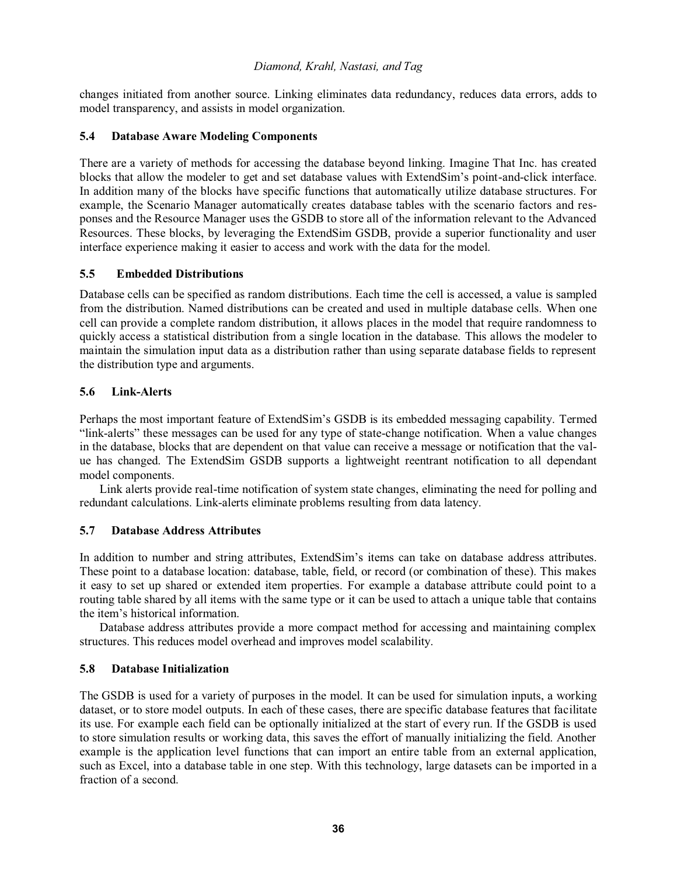changes initiated from another source. Linking eliminates data redundancy, reduces data errors, adds to model transparency, and assists in model organization.

### **5.4 Database Aware Modeling Components**

There are a variety of methods for accessing the database beyond linking. Imagine That Inc. has created blocks that allow the modeler to get and set database values with ExtendSim's point-and-click interface. In addition many of the blocks have specific functions that automatically utilize database structures. For example, the Scenario Manager automatically creates database tables with the scenario factors and responses and the Resource Manager uses the GSDB to store all of the information relevant to the Advanced Resources. These blocks, by leveraging the ExtendSim GSDB, provide a superior functionality and user interface experience making it easier to access and work with the data for the model.

### **5.5 Embedded Distributions**

Database cells can be specified as random distributions. Each time the cell is accessed, a value is sampled from the distribution. Named distributions can be created and used in multiple database cells. When one cell can provide a complete random distribution, it allows places in the model that require randomness to quickly access a statistical distribution from a single location in the database. This allows the modeler to maintain the simulation input data as a distribution rather than using separate database fields to represent the distribution type and arguments.

### **5.6 Link-Alerts**

Perhaps the most important feature of ExtendSim's GSDB is its embedded messaging capability. Termed "link-alerts" these messages can be used for any type of state-change notification. When a value changes in the database, blocks that are dependent on that value can receive a message or notification that the value has changed. The ExtendSim GSDB supports a lightweight reentrant notification to all dependant model components.

Link alerts provide real-time notification of system state changes, eliminating the need for polling and redundant calculations. Link-alerts eliminate problems resulting from data latency.

### **5.7 Database Address Attributes**

In addition to number and string attributes, ExtendSim's items can take on database address attributes. These point to a database location: database, table, field, or record (or combination of these). This makes it easy to set up shared or extended item properties. For example a database attribute could point to a routing table shared by all items with the same type or it can be used to attach a unique table that contains the item's historical information.

Database address attributes provide a more compact method for accessing and maintaining complex structures. This reduces model overhead and improves model scalability.

## **5.8 Database Initialization**

The GSDB is used for a variety of purposes in the model. It can be used for simulation inputs, a working dataset, or to store model outputs. In each of these cases, there are specific database features that facilitate its use. For example each field can be optionally initialized at the start of every run. If the GSDB is used to store simulation results or working data, this saves the effort of manually initializing the field. Another example is the application level functions that can import an entire table from an external application, such as Excel, into a database table in one step. With this technology, large datasets can be imported in a fraction of a second.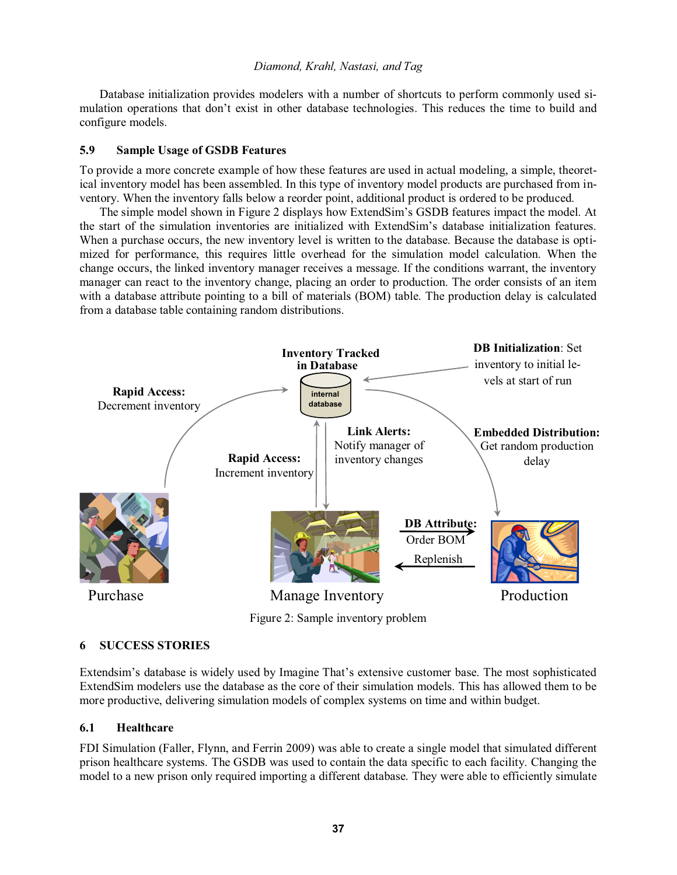### *Diamond, Krahl, Nastasi, and Tag*

Database initialization provides modelers with a number of shortcuts to perform commonly used simulation operations that don't exist in other database technologies. This reduces the time to build and configure models.

#### **5.9 Sample Usage of GSDB Features**

To provide a more concrete example of how these features are used in actual modeling, a simple, theoretical inventory model has been assembled. In this type of inventory model products are purchased from inventory. When the inventory falls below a reorder point, additional product is ordered to be produced.

The simple model shown in Figure 2 displays how ExtendSim's GSDB features impact the model. At the start of the simulation inventories are initialized with ExtendSim's database initialization features. When a purchase occurs, the new inventory level is written to the database. Because the database is optimized for performance, this requires little overhead for the simulation model calculation. When the change occurs, the linked inventory manager receives a message. If the conditions warrant, the inventory manager can react to the inventory change, placing an order to production. The order consists of an item with a database attribute pointing to a bill of materials (BOM) table. The production delay is calculated from a database table containing random distributions.



#### **6 SUCCESS STORIES**

Extendsim's database is widely used by Imagine That's extensive customer base. The most sophisticated ExtendSim modelers use the database as the core of their simulation models. This has allowed them to be more productive, delivering simulation models of complex systems on time and within budget.

### **6.1 Healthcare**

FDI Simulation (Faller, Flynn, and Ferrin 2009) was able to create a single model that simulated different prison healthcare systems. The GSDB was used to contain the data specific to each facility. Changing the model to a new prison only required importing a different database. They were able to efficiently simulate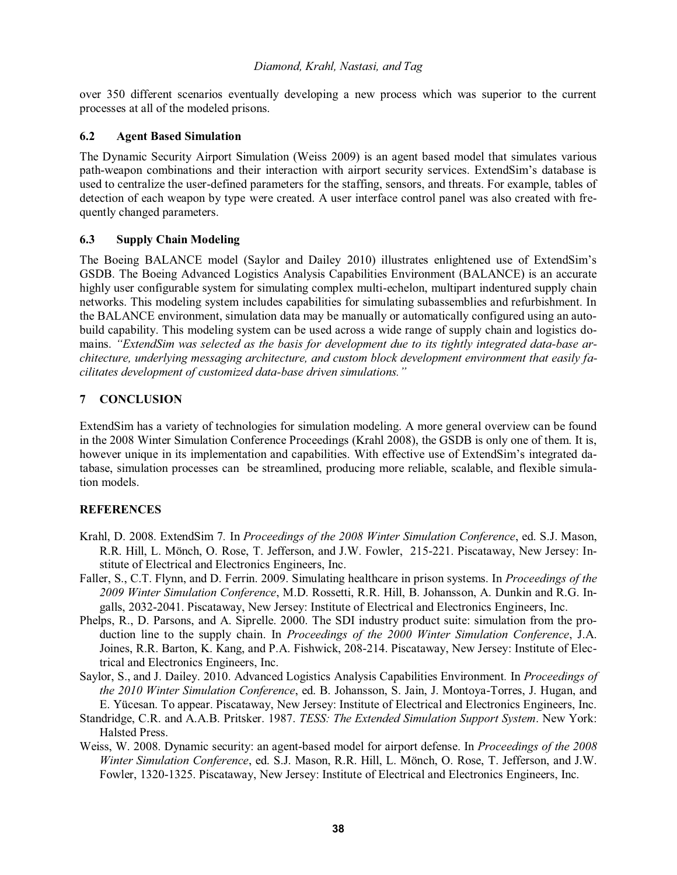### *Diamond, Krahl, Nastasi, and Tag*

over 350 different scenarios eventually developing a new process which was superior to the current processes at all of the modeled prisons.

### **6.2 Agent Based Simulation**

The Dynamic Security Airport Simulation (Weiss 2009) is an agent based model that simulates various path-weapon combinations and their interaction with airport security services. ExtendSim's database is used to centralize the user-defined parameters for the staffing, sensors, and threats. For example, tables of detection of each weapon by type were created. A user interface control panel was also created with frequently changed parameters.

### **6.3 Supply Chain Modeling**

The Boeing BALANCE model (Saylor and Dailey 2010) illustrates enlightened use of ExtendSim's GSDB. The Boeing Advanced Logistics Analysis Capabilities Environment (BALANCE) is an accurate highly user configurable system for simulating complex multi-echelon, multipart indentured supply chain networks. This modeling system includes capabilities for simulating subassemblies and refurbishment. In the BALANCE environment, simulation data may be manually or automatically configured using an autobuild capability. This modeling system can be used across a wide range of supply chain and logistics domains. "ExtendSim was selected as the basis for development due to its tightly integrated data-base ar*chitecture, underlying messaging architecture, and custom block development environment that easily facilitates development of customized data-base driven simulations.*

### **7 CONCLUSION**

ExtendSim has a variety of technologies for simulation modeling. A more general overview can be found in the 2008 Winter Simulation Conference Proceedings (Krahl 2008), the GSDB is only one of them. It is, however unique in its implementation and capabilities. With effective use of ExtendSim's integrated database, simulation processes can be streamlined, producing more reliable, scalable, and flexible simulation models.

## **REFERENCES**

- Krahl, D. 2008. ExtendSim 7*.* In *Proceedings of the 2008 Winter Simulation Conference*, ed. S.J. Mason, R.R. Hill, L. Mönch, O. Rose, T. Jefferson, and J.W. Fowler, 215-221. Piscataway, New Jersey: Institute of Electrical and Electronics Engineers, Inc.
- Faller, S., C.T. Flynn, and D. Ferrin. 2009. Simulating healthcare in prison systems. In *Proceedings of the 2009 Winter Simulation Conference*, M.D. Rossetti, R.R. Hill, B. Johansson, A. Dunkin and R.G. Ingalls, 2032-2041. Piscataway, New Jersey: Institute of Electrical and Electronics Engineers, Inc.
- Phelps, R., D. Parsons, and A. Siprelle. 2000. The SDI industry product suite: simulation from the production line to the supply chain. In *Proceedings of the 2000 Winter Simulation Conference*, J.A. Joines, R.R. Barton, K. Kang, and P.A. Fishwick, 208-214. Piscataway, New Jersey: Institute of Electrical and Electronics Engineers, Inc.
- Saylor, S., and J. Dailey. 2010. Advanced Logistics Analysis Capabilities Environment*.* In *Proceedings of the 2010 Winter Simulation Conference*, ed. B. Johansson, S. Jain, J. Montoya-Torres, J. Hugan, and E. Yücesan. To appear. Piscataway, New Jersey: Institute of Electrical and Electronics Engineers, Inc.
- Standridge, C.R. and A.A.B. Pritsker. 1987. *TESS: The Extended Simulation Support System*. New York: Halsted Press.
- Weiss, W. 2008. Dynamic security: an agent-based model for airport defense. In *Proceedings of the 2008 Winter Simulation Conference*, ed. S.J. Mason, R.R. Hill, L. Mönch, O. Rose, T. Jefferson, and J.W. Fowler, 1320-1325. Piscataway, New Jersey: Institute of Electrical and Electronics Engineers, Inc.